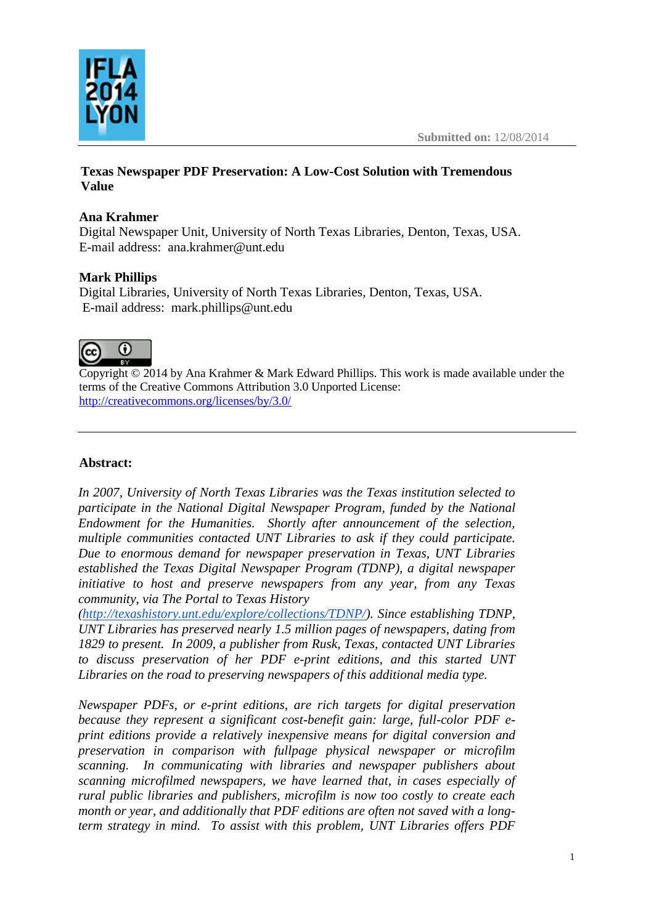

#### **Texas Newspaper PDF Preservation: A Low-Cost Solution with Tremendous Value**

## **Ana Krahmer**

Digital Newspaper Unit, University of North Texas Libraries, Denton, Texas, USA. E-mail address: ana.krahmer@unt.edu

## **Mark Phillips**

Digital Libraries, University of North Texas Libraries, Denton, Texas, USA. E-mail address: mark.phillips@unt.edu



Copyright © 2014 by Ana Krahmer & Mark Edward Phillips. This work is made available under the terms of the Creative Commons Attribution 3.0 Unported License: <http://creativecommons.org/licenses/by/3.0/>

## **Abstract:**

*In 2007, University of North Texas Libraries was the Texas institution selected to participate in the National Digital Newspaper Program, funded by the National Endowment for the Humanities. Shortly after announcement of the selection, multiple communities contacted UNT Libraries to ask if they could participate. Due to enormous demand for newspaper preservation in Texas, UNT Libraries established the Texas Digital Newspaper Program (TDNP), a digital newspaper initiative to host and preserve newspapers from any year, from any Texas community, via The Portal to Texas History* 

*[\(http://texashistory.unt.edu/explore/collections/TDNP/\).](http://texashistory.unt.edu/explore/collections/TDNP/) Since establishing TDNP, UNT Libraries has preserved nearly 1.5 million pages of newspapers, dating from 1829 to present. In 2009, a publisher from Rusk, Texas, contacted UNT Libraries to discuss preservation of her PDF e-print editions, and this started UNT Libraries on the road to preserving newspapers of this additional media type.* 

*Newspaper PDFs, or e-print editions, are rich targets for digital preservation because they represent a significant cost-benefit gain: large, full-color PDF eprint editions provide a relatively inexpensive means for digital conversion and preservation in comparison with fullpage physical newspaper or microfilm scanning. In communicating with libraries and newspaper publishers about scanning microfilmed newspapers, we have learned that, in cases especially of rural public libraries and publishers, microfilm is now too costly to create each month or year, and additionally that PDF editions are often not saved with a longterm strategy in mind. To assist with this problem, UNT Libraries offers PDF*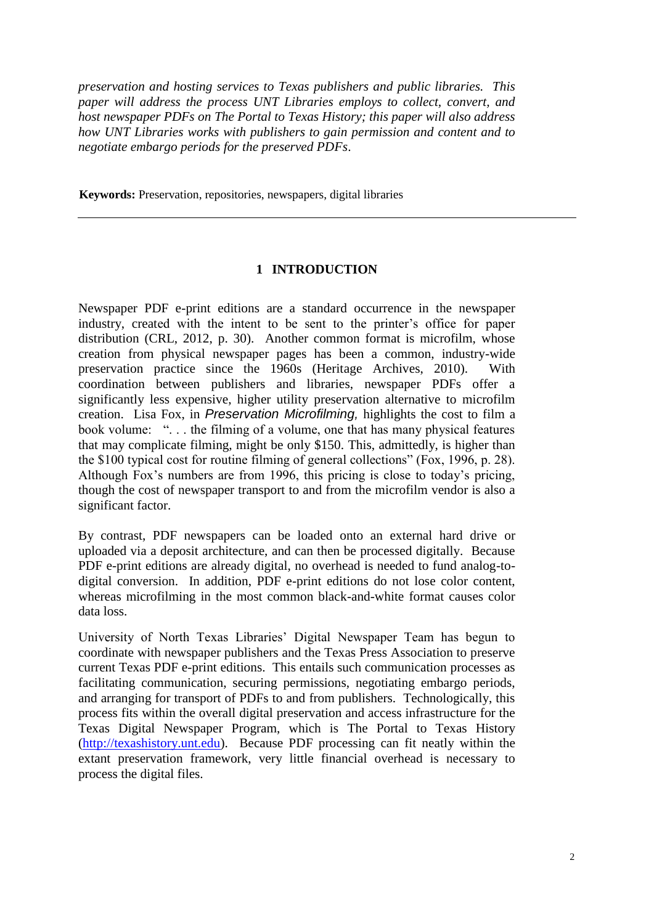*preservation and hosting services to Texas publishers and public libraries. This paper will address the process UNT Libraries employs to collect, convert, and host newspaper PDFs on The Portal to Texas History; this paper will also address how UNT Libraries works with publishers to gain permission and content and to negotiate embargo periods for the preserved PDFs*.

**Keywords:** Preservation, repositories, newspapers, digital libraries

## **1 INTRODUCTION**

Newspaper PDF e-print editions are a standard occurrence in the newspaper industry, created with the intent to be sent to the printer's office for paper distribution (CRL, 2012, p. 30). Another common format is microfilm, whose creation from physical newspaper pages has been a common, industry-wide preservation practice since the 1960s (Heritage Archives, 2010). With coordination between publishers and libraries, newspaper PDFs offer a significantly less expensive, higher utility preservation alternative to microfilm creation. Lisa Fox, in *Preservation Microfilming,* highlights the cost to film a book volume: "... the filming of a volume, one that has many physical features that may complicate filming, might be only \$150. This, admittedly, is higher than the \$100 typical cost for routine filming of general collections" (Fox, 1996, p. 28). Although Fox's numbers are from 1996, this pricing is close to today's pricing, though the cost of newspaper transport to and from the microfilm vendor is also a significant factor.

By contrast, PDF newspapers can be loaded onto an external hard drive or uploaded via a deposit architecture, and can then be processed digitally. Because PDF e-print editions are already digital, no overhead is needed to fund analog-todigital conversion. In addition, PDF e-print editions do not lose color content, whereas microfilming in the most common black-and-white format causes color data loss.

University of North Texas Libraries' Digital Newspaper Team has begun to coordinate with newspaper publishers and the Texas Press Association to preserve current Texas PDF e-print editions. This entails such communication processes as facilitating communication, securing permissions, negotiating embargo periods, and arranging for transport of PDFs to and from publishers. Technologically, this process fits within the overall digital preservation and access infrastructure for the Texas Digital Newspaper Program, which is The Portal to Texas History [\(http://texashistory.unt.edu\).](http://texashistory.unt.edu/) Because PDF processing can fit neatly within the extant preservation framework, very little financial overhead is necessary to process the digital files.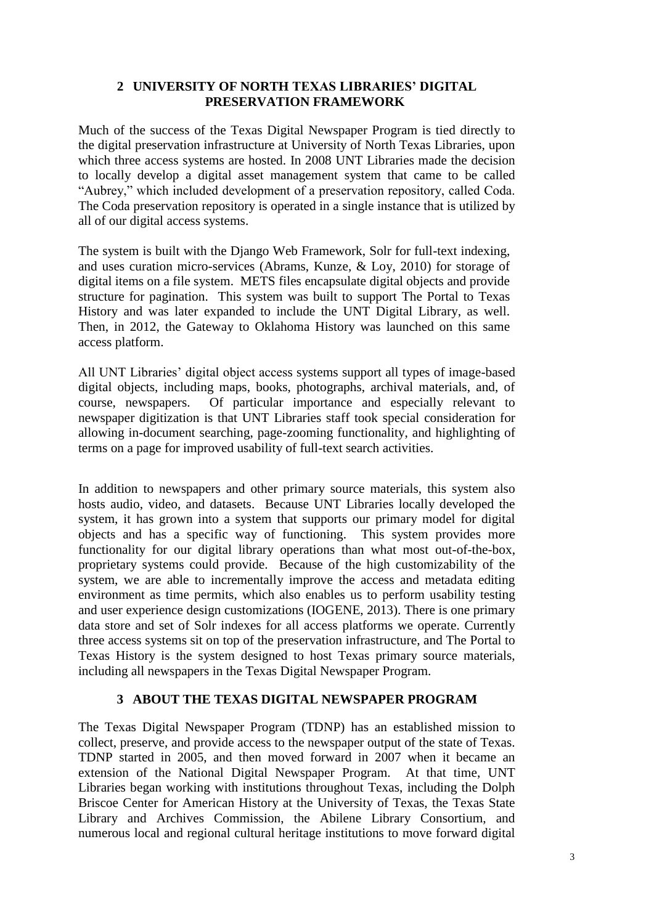#### **2 UNIVERSITY OF NORTH TEXAS LIBRARIES' DIGITAL PRESERVATION FRAMEWORK**

Much of the success of the Texas Digital Newspaper Program is tied directly to the digital preservation infrastructure at University of North Texas Libraries, upon which three access systems are hosted. In 2008 UNT Libraries made the decision to locally develop a digital asset management system that came to be called "Aubrey," which included development of a preservation repository, called Coda. The Coda preservation repository is operated in a single instance that is utilized by all of our digital access systems.

The system is built with the Django Web Framework, Solr for full-text indexing, and uses curation micro-services (Abrams, Kunze, & Loy, 2010) for storage of digital items on a file system. METS files encapsulate digital objects and provide structure for pagination. This system was built to support The Portal to Texas History and was later expanded to include the UNT Digital Library, as well. Then, in 2012, the Gateway to Oklahoma History was launched on this same access platform.

All UNT Libraries' digital object access systems support all types of image-based digital objects, including maps, books, photographs, archival materials, and, of course, newspapers. Of particular importance and especially relevant to newspaper digitization is that UNT Libraries staff took special consideration for allowing in-document searching, page-zooming functionality, and highlighting of terms on a page for improved usability of full-text search activities.

In addition to newspapers and other primary source materials, this system also hosts audio, video, and datasets. Because UNT Libraries locally developed the system, it has grown into a system that supports our primary model for digital objects and has a specific way of functioning. This system provides more functionality for our digital library operations than what most out-of-the-box, proprietary systems could provide. Because of the high customizability of the system, we are able to incrementally improve the access and metadata editing environment as time permits, which also enables us to perform usability testing and user experience design customizations (IOGENE, 2013). There is one primary data store and set of Solr indexes for all access platforms we operate. Currently three access systems sit on top of the preservation infrastructure, and The Portal to Texas History is the system designed to host Texas primary source materials, including all newspapers in the Texas Digital Newspaper Program.

## **3 ABOUT THE TEXAS DIGITAL NEWSPAPER PROGRAM**

The Texas Digital Newspaper Program (TDNP) has an established mission to collect, preserve, and provide access to the newspaper output of the state of Texas. TDNP started in 2005, and then moved forward in 2007 when it became an extension of the National Digital Newspaper Program. At that time, UNT Libraries began working with institutions throughout Texas, including the Dolph Briscoe Center for American History at the University of Texas, the Texas State Library and Archives Commission, the Abilene Library Consortium, and numerous local and regional cultural heritage institutions to move forward digital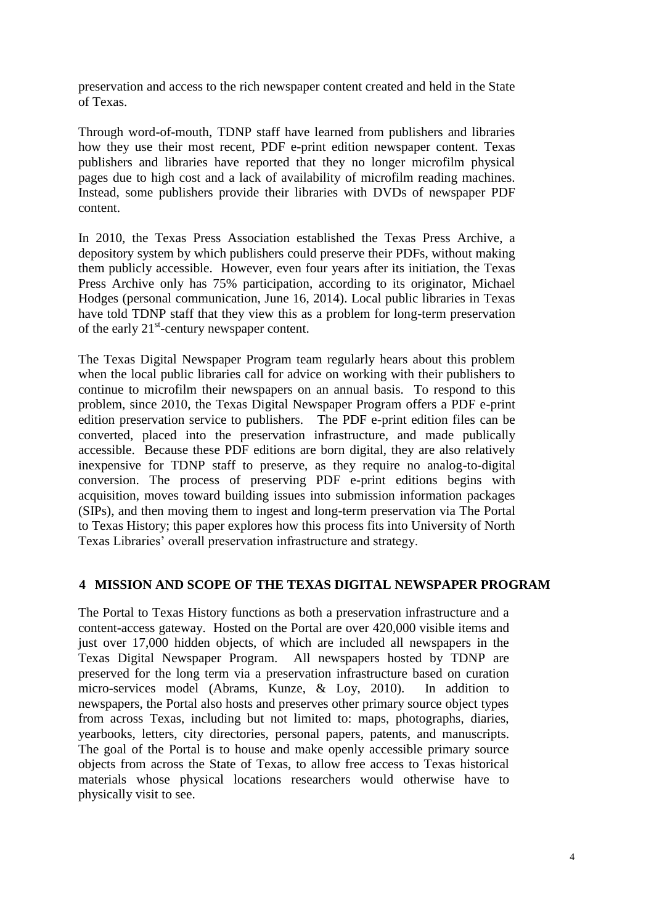preservation and access to the rich newspaper content created and held in the State of Texas.

Through word-of-mouth, TDNP staff have learned from publishers and libraries how they use their most recent, PDF e-print edition newspaper content. Texas publishers and libraries have reported that they no longer microfilm physical pages due to high cost and a lack of availability of microfilm reading machines. Instead, some publishers provide their libraries with DVDs of newspaper PDF content.

In 2010, the Texas Press Association established the Texas Press Archive, a depository system by which publishers could preserve their PDFs, without making them publicly accessible. However, even four years after its initiation, the Texas Press Archive only has 75% participation, according to its originator, Michael Hodges (personal communication, June 16, 2014). Local public libraries in Texas have told TDNP staff that they view this as a problem for long-term preservation of the early  $21^{st}$ -century newspaper content.

The Texas Digital Newspaper Program team regularly hears about this problem when the local public libraries call for advice on working with their publishers to continue to microfilm their newspapers on an annual basis. To respond to this problem, since 2010, the Texas Digital Newspaper Program offers a PDF e-print edition preservation service to publishers. The PDF e-print edition files can be converted, placed into the preservation infrastructure, and made publically accessible. Because these PDF editions are born digital, they are also relatively inexpensive for TDNP staff to preserve, as they require no analog-to-digital conversion. The process of preserving PDF e-print editions begins with acquisition, moves toward building issues into submission information packages (SIPs), and then moving them to ingest and long-term preservation via The Portal to Texas History; this paper explores how this process fits into University of North Texas Libraries' overall preservation infrastructure and strategy.

#### **4 MISSION AND SCOPE OF THE TEXAS DIGITAL NEWSPAPER PROGRAM**

The Portal to Texas History functions as both a preservation infrastructure and a content-access gateway. Hosted on the Portal are over 420,000 visible items and just over 17,000 hidden objects, of which are included all newspapers in the Texas Digital Newspaper Program. All newspapers hosted by TDNP are preserved for the long term via a preservation infrastructure based on curation micro-services model (Abrams, Kunze, & Loy, 2010). In addition to newspapers, the Portal also hosts and preserves other primary source object types from across Texas, including but not limited to: maps, photographs, diaries, yearbooks, letters, city directories, personal papers, patents, and manuscripts. The goal of the Portal is to house and make openly accessible primary source objects from across the State of Texas, to allow free access to Texas historical materials whose physical locations researchers would otherwise have to physically visit to see.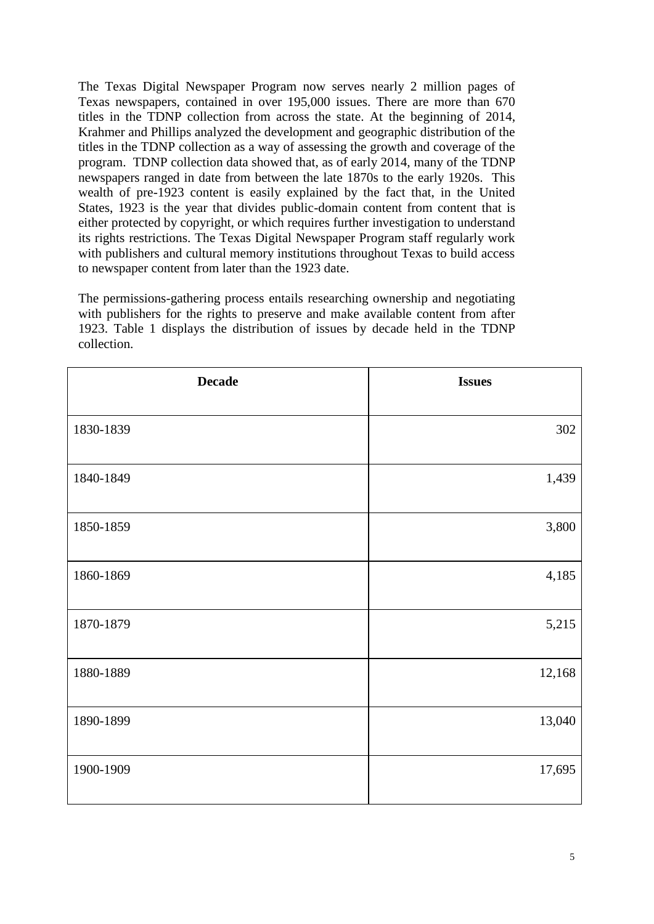The Texas Digital Newspaper Program now serves nearly 2 million pages of Texas newspapers, contained in over 195,000 issues. There are more than 670 titles in the TDNP collection from across the state. At the beginning of 2014, Krahmer and Phillips analyzed the development and geographic distribution of the titles in the TDNP collection as a way of assessing the growth and coverage of the program. TDNP collection data showed that, as of early 2014, many of the TDNP newspapers ranged in date from between the late 1870s to the early 1920s. This wealth of pre-1923 content is easily explained by the fact that, in the United States, 1923 is the year that divides public-domain content from content that is either protected by copyright, or which requires further investigation to understand its rights restrictions. The Texas Digital Newspaper Program staff regularly work with publishers and cultural memory institutions throughout Texas to build access to newspaper content from later than the 1923 date.

The permissions-gathering process entails researching ownership and negotiating with publishers for the rights to preserve and make available content from after 1923. Table 1 displays the distribution of issues by decade held in the TDNP collection.

| <b>Decade</b> | <b>Issues</b> |
|---------------|---------------|
| 1830-1839     | 302           |
| 1840-1849     | 1,439         |
| 1850-1859     | 3,800         |
| 1860-1869     | 4,185         |
| 1870-1879     | 5,215         |
| 1880-1889     | 12,168        |
| 1890-1899     | 13,040        |
| 1900-1909     | 17,695        |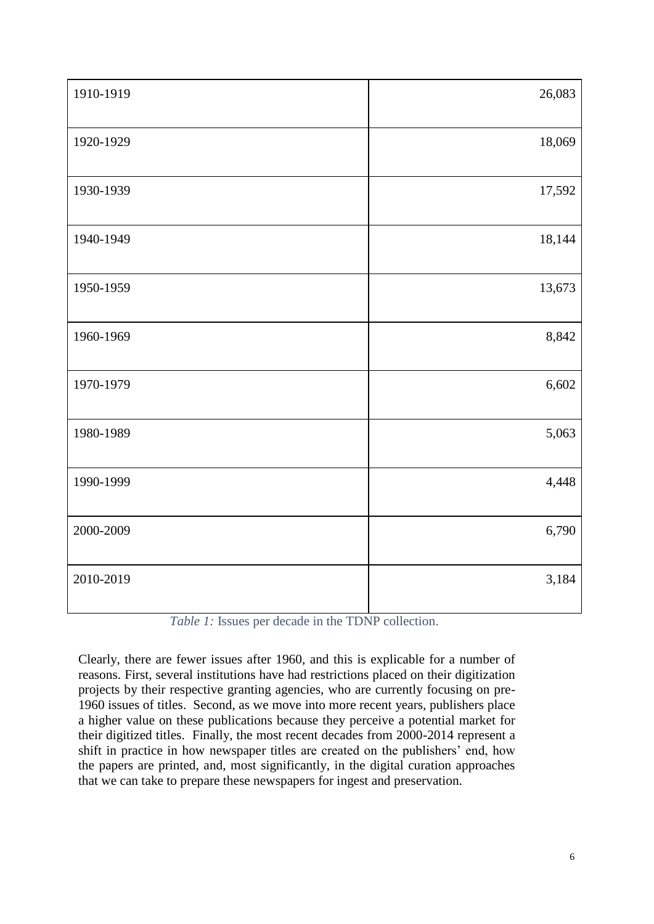| 1910-1919 | 26,083 |
|-----------|--------|
| 1920-1929 | 18,069 |
| 1930-1939 | 17,592 |
| 1940-1949 | 18,144 |
| 1950-1959 | 13,673 |
| 1960-1969 | 8,842  |
| 1970-1979 | 6,602  |
| 1980-1989 | 5,063  |
| 1990-1999 | 4,448  |
| 2000-2009 | 6,790  |
| 2010-2019 | 3,184  |

*Table 1:* Issues per decade in the TDNP collection.

Clearly, there are fewer issues after 1960, and this is explicable for a number of reasons. First, several institutions have had restrictions placed on their digitization projects by their respective granting agencies, who are currently focusing on pre-1960 issues of titles. Second, as we move into more recent years, publishers place a higher value on these publications because they perceive a potential market for their digitized titles. Finally, the most recent decades from 2000-2014 represent a shift in practice in how newspaper titles are created on the publishers' end, how the papers are printed, and, most significantly, in the digital curation approaches that we can take to prepare these newspapers for ingest and preservation.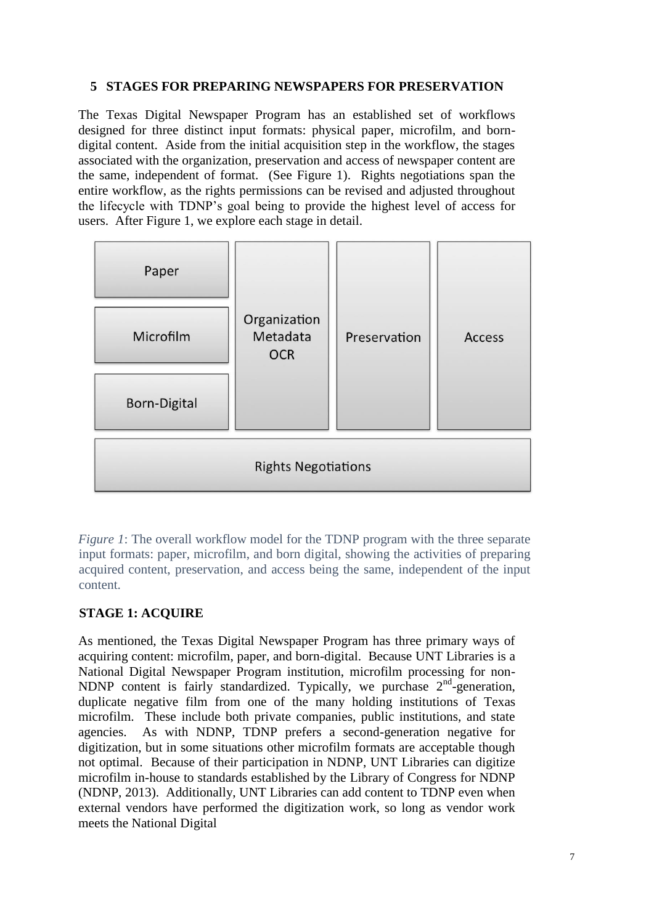## **5 STAGES FOR PREPARING NEWSPAPERS FOR PRESERVATION**

The Texas Digital Newspaper Program has an established set of workflows designed for three distinct input formats: physical paper, microfilm, and borndigital content. Aside from the initial acquisition step in the workflow, the stages associated with the organization, preservation and access of newspaper content are the same, independent of format. (See Figure 1). Rights negotiations span the entire workflow, as the rights permissions can be revised and adjusted throughout the lifecycle with TDNP's goal being to provide the highest level of access for users. After Figure 1, we explore each stage in detail.



*Figure 1*: The overall workflow model for the TDNP program with the three separate input formats: paper, microfilm, and born digital, showing the activities of preparing acquired content, preservation, and access being the same, independent of the input content.

# **STAGE 1: ACQUIRE**

As mentioned, the Texas Digital Newspaper Program has three primary ways of acquiring content: microfilm, paper, and born-digital. Because UNT Libraries is a National Digital Newspaper Program institution, microfilm processing for non-NDNP content is fairly standardized. Typically, we purchase  $2<sup>nd</sup>$ -generation, duplicate negative film from one of the many holding institutions of Texas microfilm. These include both private companies, public institutions, and state agencies. As with NDNP, TDNP prefers a second-generation negative for digitization, but in some situations other microfilm formats are acceptable though not optimal. Because of their participation in NDNP, UNT Libraries can digitize microfilm in-house to standards established by the Library of Congress for NDNP (NDNP, 2013). Additionally, UNT Libraries can add content to TDNP even when external vendors have performed the digitization work, so long as vendor work meets the National Digital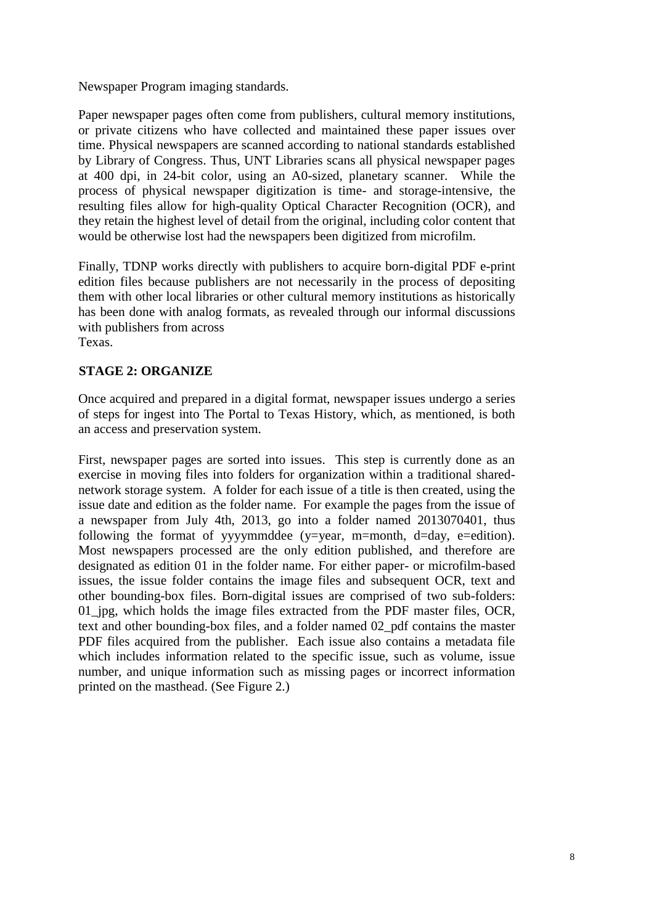Newspaper Program imaging standards.

Paper newspaper pages often come from publishers, cultural memory institutions, or private citizens who have collected and maintained these paper issues over time. Physical newspapers are scanned according to national standards established by Library of Congress. Thus, UNT Libraries scans all physical newspaper pages at 400 dpi, in 24-bit color, using an A0-sized, planetary scanner. While the process of physical newspaper digitization is time- and storage-intensive, the resulting files allow for high-quality Optical Character Recognition (OCR), and they retain the highest level of detail from the original, including color content that would be otherwise lost had the newspapers been digitized from microfilm.

Finally, TDNP works directly with publishers to acquire born-digital PDF e-print edition files because publishers are not necessarily in the process of depositing them with other local libraries or other cultural memory institutions as historically has been done with analog formats, as revealed through our informal discussions with publishers from across Texas.

## **STAGE 2: ORGANIZE**

Once acquired and prepared in a digital format, newspaper issues undergo a series of steps for ingest into The Portal to Texas History, which, as mentioned, is both an access and preservation system.

First, newspaper pages are sorted into issues. This step is currently done as an exercise in moving files into folders for organization within a traditional sharednetwork storage system. A folder for each issue of a title is then created, using the issue date and edition as the folder name. For example the pages from the issue of a newspaper from July 4th, 2013, go into a folder named 2013070401, thus following the format of yyvymmddee (y=year, m=month, d=day, e=edition). Most newspapers processed are the only edition published, and therefore are designated as edition 01 in the folder name. For either paper- or microfilm-based issues, the issue folder contains the image files and subsequent OCR, text and other bounding-box files. Born-digital issues are comprised of two sub-folders: 01\_jpg, which holds the image files extracted from the PDF master files, OCR, text and other bounding-box files, and a folder named 02\_pdf contains the master PDF files acquired from the publisher. Each issue also contains a metadata file which includes information related to the specific issue, such as volume, issue number, and unique information such as missing pages or incorrect information printed on the masthead. (See Figure 2.)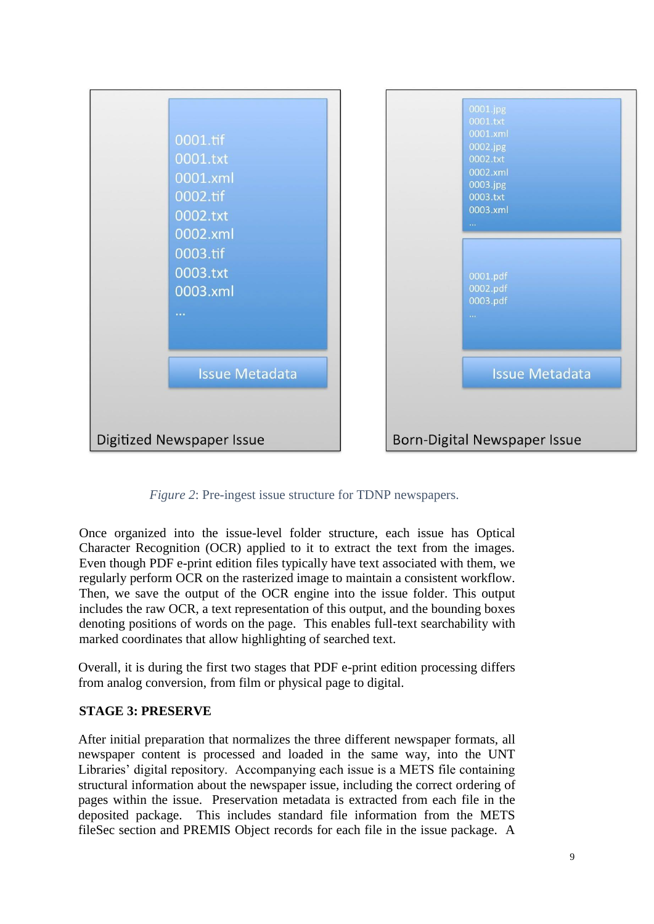

*Figure 2*: Pre-ingest issue structure for TDNP newspapers.

Once organized into the issue-level folder structure, each issue has Optical Character Recognition (OCR) applied to it to extract the text from the images. Even though PDF e-print edition files typically have text associated with them, we regularly perform OCR on the rasterized image to maintain a consistent workflow. Then, we save the output of the OCR engine into the issue folder. This output includes the raw OCR, a text representation of this output, and the bounding boxes denoting positions of words on the page. This enables full-text searchability with marked coordinates that allow highlighting of searched text.

Overall, it is during the first two stages that PDF e-print edition processing differs from analog conversion, from film or physical page to digital.

## **STAGE 3: PRESERVE**

After initial preparation that normalizes the three different newspaper formats, all newspaper content is processed and loaded in the same way, into the UNT Libraries' digital repository. Accompanying each issue is a METS file containing structural information about the newspaper issue, including the correct ordering of pages within the issue. Preservation metadata is extracted from each file in the deposited package. This includes standard file information from the METS fileSec section and PREMIS Object records for each file in the issue package. A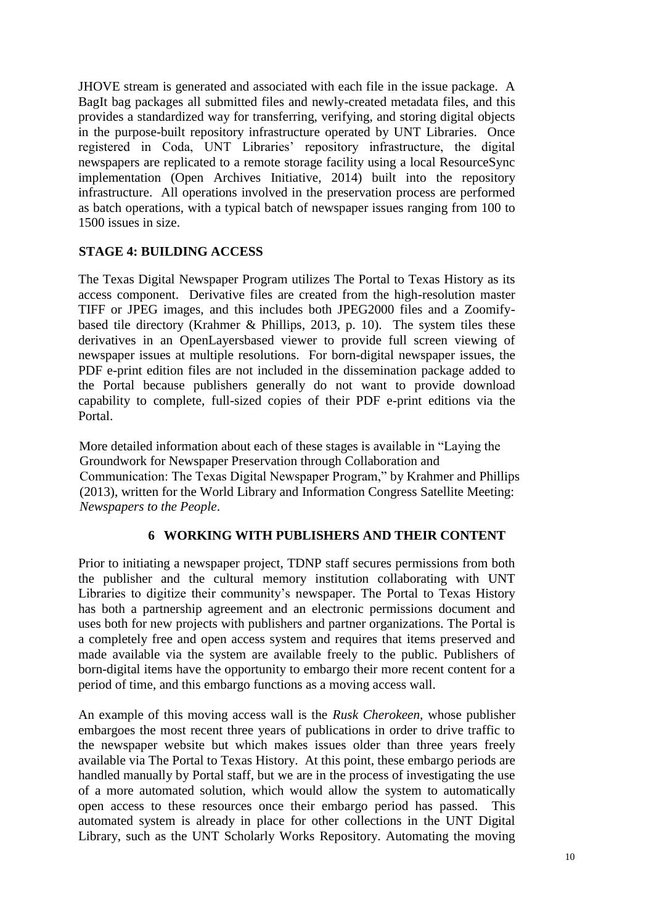JHOVE stream is generated and associated with each file in the issue package. A BagIt bag packages all submitted files and newly-created metadata files, and this provides a standardized way for transferring, verifying, and storing digital objects in the purpose-built repository infrastructure operated by UNT Libraries. Once registered in Coda, UNT Libraries' repository infrastructure, the digital newspapers are replicated to a remote storage facility using a local ResourceSync implementation (Open Archives Initiative, 2014) built into the repository infrastructure. All operations involved in the preservation process are performed as batch operations, with a typical batch of newspaper issues ranging from 100 to 1500 issues in size.

## **STAGE 4: BUILDING ACCESS**

The Texas Digital Newspaper Program utilizes The Portal to Texas History as its access component. Derivative files are created from the high-resolution master TIFF or JPEG images, and this includes both JPEG2000 files and a Zoomifybased tile directory (Krahmer & Phillips, 2013, p. 10). The system tiles these derivatives in an OpenLayersbased viewer to provide full screen viewing of newspaper issues at multiple resolutions. For born-digital newspaper issues, the PDF e-print edition files are not included in the dissemination package added to the Portal because publishers generally do not want to provide download capability to complete, full-sized copies of their PDF e-print editions via the Portal.

More detailed information about each of these stages is available in "Laying the Groundwork for Newspaper Preservation through Collaboration and Communication: The Texas Digital Newspaper Program," by Krahmer and Phillips (2013), written for the World Library and Information Congress Satellite Meeting: *Newspapers to the People*.

#### **6 WORKING WITH PUBLISHERS AND THEIR CONTENT**

Prior to initiating a newspaper project, TDNP staff secures permissions from both the publisher and the cultural memory institution collaborating with UNT Libraries to digitize their community's newspaper. The Portal to Texas History has both a partnership agreement and an electronic permissions document and uses both for new projects with publishers and partner organizations. The Portal is a completely free and open access system and requires that items preserved and made available via the system are available freely to the public. Publishers of born-digital items have the opportunity to embargo their more recent content for a period of time, and this embargo functions as a moving access wall.

An example of this moving access wall is the *Rusk Cherokeen,* whose publisher embargoes the most recent three years of publications in order to drive traffic to the newspaper website but which makes issues older than three years freely available via The Portal to Texas History. At this point, these embargo periods are handled manually by Portal staff, but we are in the process of investigating the use of a more automated solution, which would allow the system to automatically open access to these resources once their embargo period has passed. This automated system is already in place for other collections in the UNT Digital Library, such as the UNT Scholarly Works Repository. Automating the moving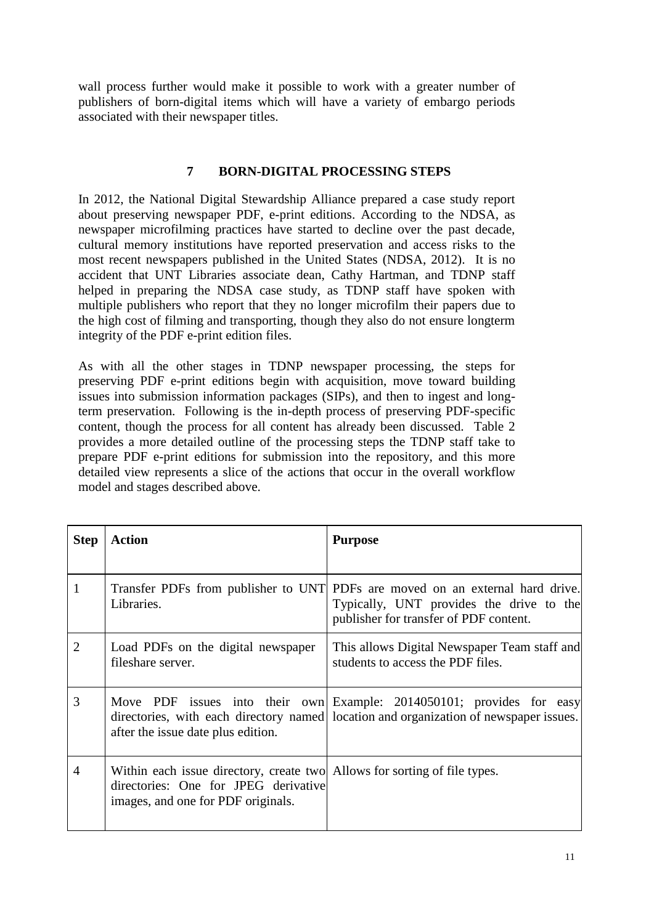wall process further would make it possible to work with a greater number of publishers of born-digital items which will have a variety of embargo periods associated with their newspaper titles.

## **7 BORN-DIGITAL PROCESSING STEPS**

In 2012, the National Digital Stewardship Alliance prepared a case study report about preserving newspaper PDF, e-print editions. According to the NDSA, as newspaper microfilming practices have started to decline over the past decade, cultural memory institutions have reported preservation and access risks to the most recent newspapers published in the United States (NDSA, 2012). It is no accident that UNT Libraries associate dean, Cathy Hartman, and TDNP staff helped in preparing the NDSA case study, as TDNP staff have spoken with multiple publishers who report that they no longer microfilm their papers due to the high cost of filming and transporting, though they also do not ensure longterm integrity of the PDF e-print edition files.

As with all the other stages in TDNP newspaper processing, the steps for preserving PDF e-print editions begin with acquisition, move toward building issues into submission information packages (SIPs), and then to ingest and longterm preservation. Following is the in-depth process of preserving PDF-specific content, though the process for all content has already been discussed. Table 2 provides a more detailed outline of the processing steps the TDNP staff take to prepare PDF e-print editions for submission into the repository, and this more detailed view represents a slice of the actions that occur in the overall workflow model and stages described above.

| <b>Step</b>    | <b>Action</b>                                                                                                                                           | <b>Purpose</b>                                                                                                                                                      |
|----------------|---------------------------------------------------------------------------------------------------------------------------------------------------------|---------------------------------------------------------------------------------------------------------------------------------------------------------------------|
| 1              | Libraries.                                                                                                                                              | Transfer PDFs from publisher to UNT PDFs are moved on an external hard drive.<br>Typically, UNT provides the drive to the<br>publisher for transfer of PDF content. |
| $\overline{2}$ | Load PDFs on the digital newspaper<br>fileshare server.                                                                                                 | This allows Digital Newspaper Team staff and<br>students to access the PDF files.                                                                                   |
| 3              | after the issue date plus edition.                                                                                                                      | Move PDF issues into their own Example: 2014050101; provides for easy<br>directories, with each directory named location and organization of newspaper issues.      |
| $\overline{4}$ | Within each issue directory, create two Allows for sorting of file types.<br>directories: One for JPEG derivative<br>images, and one for PDF originals. |                                                                                                                                                                     |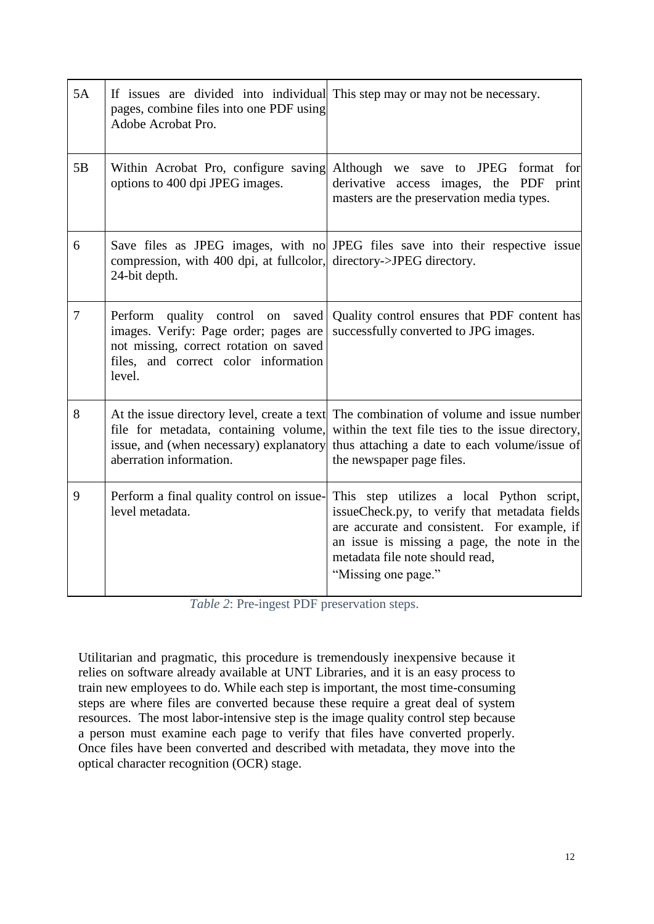| 5A             | If issues are divided into individual This step may or may not be necessary.<br>pages, combine files into one PDF using<br>Adobe Acrobat Pro.                         |                                                                                                                                                                                                                                                     |  |
|----------------|-----------------------------------------------------------------------------------------------------------------------------------------------------------------------|-----------------------------------------------------------------------------------------------------------------------------------------------------------------------------------------------------------------------------------------------------|--|
| 5B             | Within Acrobat Pro, configure saving<br>options to 400 dpi JPEG images.                                                                                               | Although we save to JPEG format for<br>derivative access images, the PDF print<br>masters are the preservation media types.                                                                                                                         |  |
| 6              | compression, with 400 dpi, at fullcolor,<br>24-bit depth.                                                                                                             | Save files as JPEG images, with no JPEG files save into their respective issue<br>directory->JPEG directory.                                                                                                                                        |  |
| $\overline{7}$ | Perform quality control on saved<br>images. Verify: Page order; pages are<br>not missing, correct rotation on saved<br>files, and correct color information<br>level. | Quality control ensures that PDF content has<br>successfully converted to JPG images.                                                                                                                                                               |  |
| 8              | file for metadata, containing volume,<br>issue, and (when necessary) explanatory<br>aberration information.                                                           | At the issue directory level, create a text The combination of volume and issue number<br>within the text file ties to the issue directory,<br>thus attaching a date to each volume/issue of<br>the newspaper page files.                           |  |
| 9              | Perform a final quality control on issue-<br>level metadata.                                                                                                          | This step utilizes a local Python script,<br>issueCheck.py, to verify that metadata fields<br>are accurate and consistent. For example, if<br>an issue is missing a page, the note in the<br>metadata file note should read,<br>"Missing one page." |  |

*Table 2*: Pre-ingest PDF preservation steps.

Utilitarian and pragmatic, this procedure is tremendously inexpensive because it relies on software already available at UNT Libraries, and it is an easy process to train new employees to do. While each step is important, the most time-consuming steps are where files are converted because these require a great deal of system resources. The most labor-intensive step is the image quality control step because a person must examine each page to verify that files have converted properly. Once files have been converted and described with metadata, they move into the optical character recognition (OCR) stage.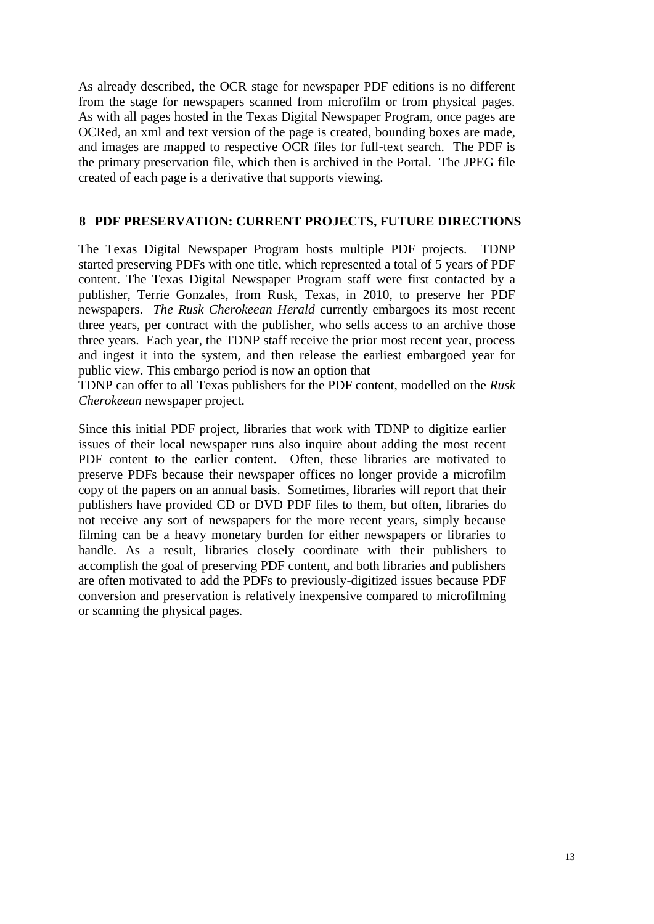As already described, the OCR stage for newspaper PDF editions is no different from the stage for newspapers scanned from microfilm or from physical pages. As with all pages hosted in the Texas Digital Newspaper Program, once pages are OCRed, an xml and text version of the page is created, bounding boxes are made, and images are mapped to respective OCR files for full-text search. The PDF is the primary preservation file, which then is archived in the Portal. The JPEG file created of each page is a derivative that supports viewing.

#### **8 PDF PRESERVATION: CURRENT PROJECTS, FUTURE DIRECTIONS**

The Texas Digital Newspaper Program hosts multiple PDF projects. TDNP started preserving PDFs with one title, which represented a total of 5 years of PDF content. The Texas Digital Newspaper Program staff were first contacted by a publisher, Terrie Gonzales, from Rusk, Texas, in 2010, to preserve her PDF newspapers. *The Rusk Cherokeean Herald* currently embargoes its most recent three years, per contract with the publisher, who sells access to an archive those three years. Each year, the TDNP staff receive the prior most recent year, process and ingest it into the system, and then release the earliest embargoed year for public view. This embargo period is now an option that

TDNP can offer to all Texas publishers for the PDF content, modelled on the *Rusk Cherokeean* newspaper project.

Since this initial PDF project, libraries that work with TDNP to digitize earlier issues of their local newspaper runs also inquire about adding the most recent PDF content to the earlier content. Often, these libraries are motivated to preserve PDFs because their newspaper offices no longer provide a microfilm copy of the papers on an annual basis. Sometimes, libraries will report that their publishers have provided CD or DVD PDF files to them, but often, libraries do not receive any sort of newspapers for the more recent years, simply because filming can be a heavy monetary burden for either newspapers or libraries to handle. As a result, libraries closely coordinate with their publishers to accomplish the goal of preserving PDF content, and both libraries and publishers are often motivated to add the PDFs to previously-digitized issues because PDF conversion and preservation is relatively inexpensive compared to microfilming or scanning the physical pages.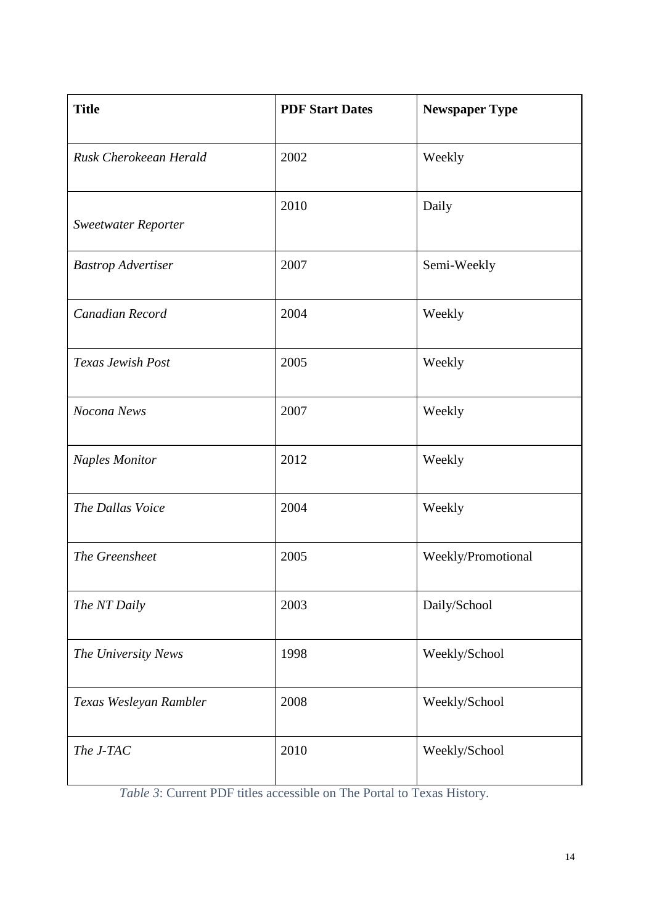| <b>Title</b>               | <b>PDF Start Dates</b> | <b>Newspaper Type</b> |
|----------------------------|------------------------|-----------------------|
| Rusk Cherokeean Herald     | 2002                   | Weekly                |
| <b>Sweetwater Reporter</b> | 2010                   | Daily                 |
| <b>Bastrop Advertiser</b>  | 2007                   | Semi-Weekly           |
| Canadian Record            | 2004                   | Weekly                |
| <b>Texas Jewish Post</b>   | 2005                   | Weekly                |
| Nocona News                | 2007                   | Weekly                |
| <b>Naples Monitor</b>      | 2012                   | Weekly                |
| The Dallas Voice           | 2004                   | Weekly                |
| The Greensheet             | 2005                   | Weekly/Promotional    |
| The NT Daily               | 2003                   | Daily/School          |
| The University News        | 1998                   | Weekly/School         |
| Texas Wesleyan Rambler     | 2008                   | Weekly/School         |
| The J-TAC                  | 2010                   | Weekly/School         |

*Table 3*: Current PDF titles accessible on The Portal to Texas History.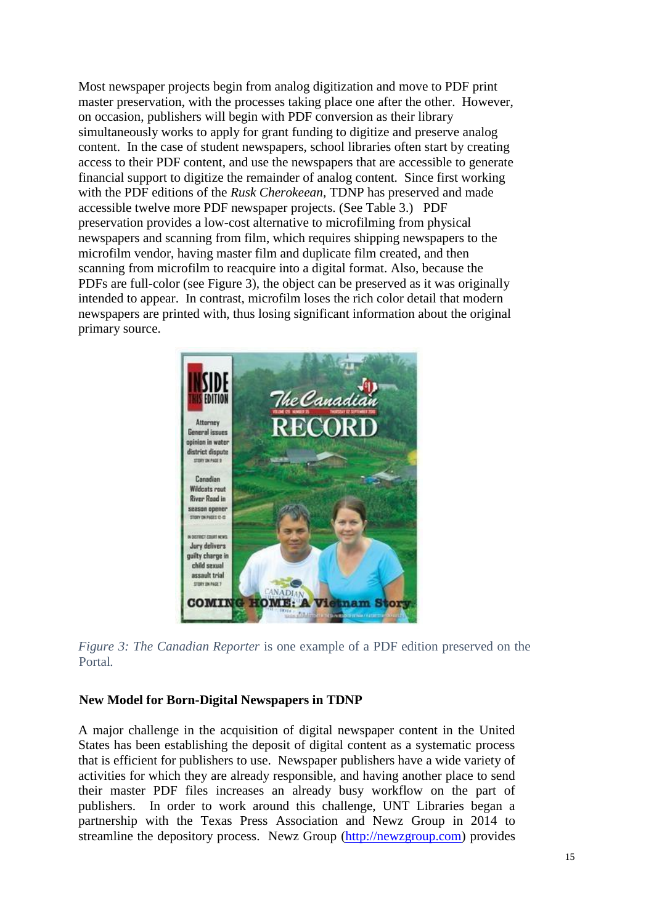Most newspaper projects begin from analog digitization and move to PDF print master preservation, with the processes taking place one after the other. However, on occasion, publishers will begin with PDF conversion as their library simultaneously works to apply for grant funding to digitize and preserve analog content. In the case of student newspapers, school libraries often start by creating access to their PDF content, and use the newspapers that are accessible to generate financial support to digitize the remainder of analog content. Since first working with the PDF editions of the *Rusk Cherokeean,* TDNP has preserved and made accessible twelve more PDF newspaper projects. (See Table 3.) PDF preservation provides a low-cost alternative to microfilming from physical newspapers and scanning from film, which requires shipping newspapers to the microfilm vendor, having master film and duplicate film created, and then scanning from microfilm to reacquire into a digital format. Also, because the PDFs are full-color (see Figure 3), the object can be preserved as it was originally intended to appear. In contrast, microfilm loses the rich color detail that modern newspapers are printed with, thus losing significant information about the original primary source.



*Figure 3: The Canadian Reporter* is one example of a PDF edition preserved on the Portal*.* 

#### **New Model for Born-Digital Newspapers in TDNP**

A major challenge in the acquisition of digital newspaper content in the United States has been establishing the deposit of digital content as a systematic process that is efficient for publishers to use. Newspaper publishers have a wide variety of activities for which they are already responsible, and having another place to send their master PDF files increases an already busy workflow on the part of publishers. In order to work around this challenge, UNT Libraries began a partnership with the Texas Press Association and Newz Group in 2014 to streamline the depository process. Newz Group [\(http://newzgroup.com\)](http://newzgroup.com/) provides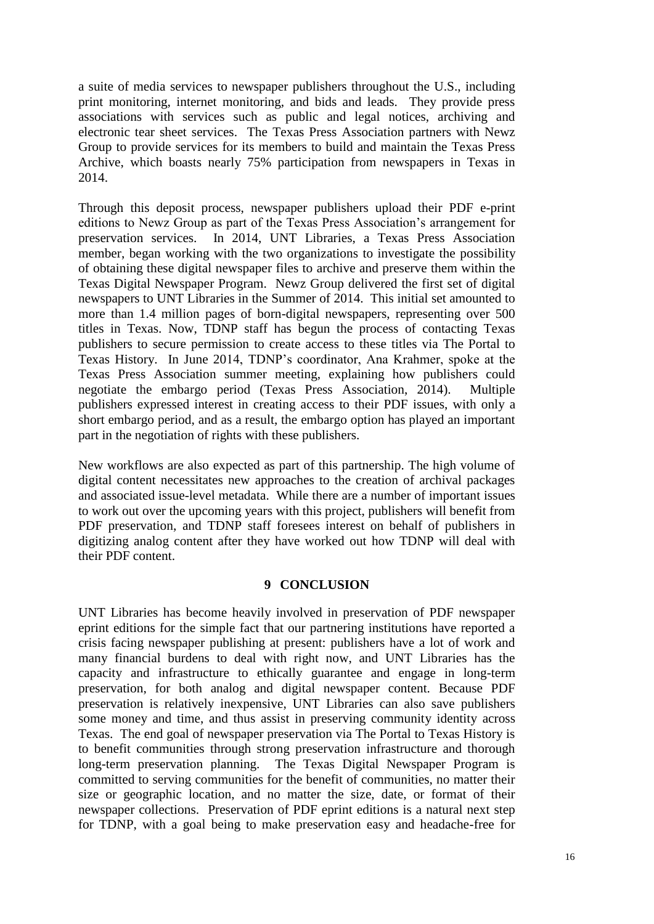a suite of media services to newspaper publishers throughout the U.S., including print monitoring, internet monitoring, and bids and leads. They provide press associations with services such as public and legal notices, archiving and electronic tear sheet services. The Texas Press Association partners with Newz Group to provide services for its members to build and maintain the Texas Press Archive, which boasts nearly 75% participation from newspapers in Texas in 2014.

Through this deposit process, newspaper publishers upload their PDF e-print editions to Newz Group as part of the Texas Press Association's arrangement for preservation services. In 2014, UNT Libraries, a Texas Press Association member, began working with the two organizations to investigate the possibility of obtaining these digital newspaper files to archive and preserve them within the Texas Digital Newspaper Program. Newz Group delivered the first set of digital newspapers to UNT Libraries in the Summer of 2014. This initial set amounted to more than 1.4 million pages of born-digital newspapers, representing over 500 titles in Texas. Now, TDNP staff has begun the process of contacting Texas publishers to secure permission to create access to these titles via The Portal to Texas History. In June 2014, TDNP's coordinator, Ana Krahmer, spoke at the Texas Press Association summer meeting, explaining how publishers could negotiate the embargo period (Texas Press Association, 2014). Multiple publishers expressed interest in creating access to their PDF issues, with only a short embargo period, and as a result, the embargo option has played an important part in the negotiation of rights with these publishers.

New workflows are also expected as part of this partnership. The high volume of digital content necessitates new approaches to the creation of archival packages and associated issue-level metadata. While there are a number of important issues to work out over the upcoming years with this project, publishers will benefit from PDF preservation, and TDNP staff foresees interest on behalf of publishers in digitizing analog content after they have worked out how TDNP will deal with their PDF content.

#### **9 CONCLUSION**

UNT Libraries has become heavily involved in preservation of PDF newspaper eprint editions for the simple fact that our partnering institutions have reported a crisis facing newspaper publishing at present: publishers have a lot of work and many financial burdens to deal with right now, and UNT Libraries has the capacity and infrastructure to ethically guarantee and engage in long-term preservation, for both analog and digital newspaper content. Because PDF preservation is relatively inexpensive, UNT Libraries can also save publishers some money and time, and thus assist in preserving community identity across Texas. The end goal of newspaper preservation via The Portal to Texas History is to benefit communities through strong preservation infrastructure and thorough long-term preservation planning. The Texas Digital Newspaper Program is committed to serving communities for the benefit of communities, no matter their size or geographic location, and no matter the size, date, or format of their newspaper collections. Preservation of PDF eprint editions is a natural next step for TDNP, with a goal being to make preservation easy and headache-free for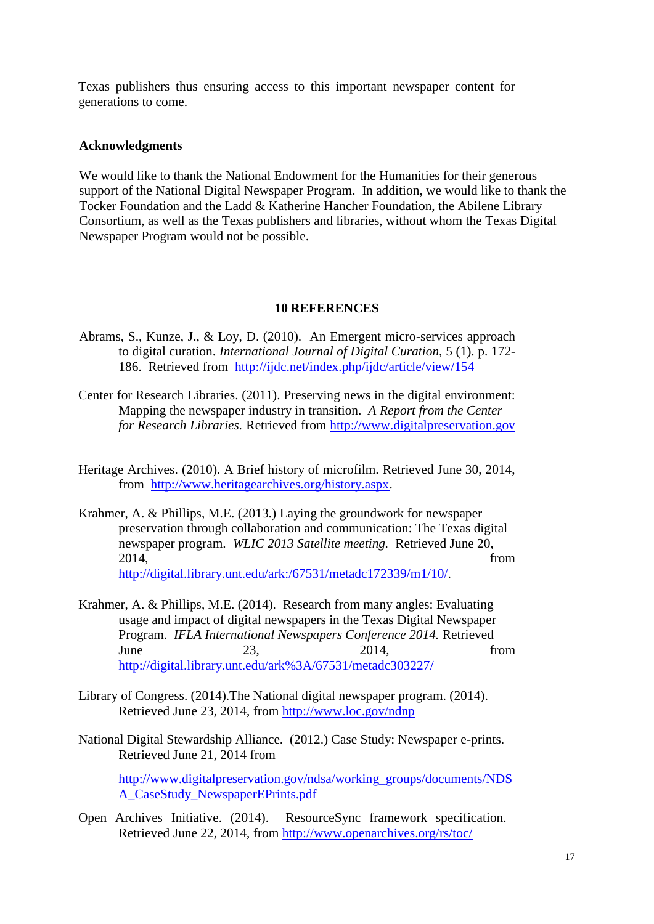Texas publishers thus ensuring access to this important newspaper content for generations to come.

#### **Acknowledgments**

We would like to thank the National Endowment for the Humanities for their generous support of the National Digital Newspaper Program. In addition, we would like to thank the Tocker Foundation and the Ladd & Katherine Hancher Foundation, the Abilene Library Consortium, as well as the Texas publishers and libraries, without whom the Texas Digital Newspaper Program would not be possible.

#### **10 REFERENCES**

- Abrams, S., Kunze, J., & Loy, D. (2010). An Emergent micro-services approach to digital curation. *International Journal of Digital Curation,* 5 (1). p. 172- 186. Retrieved from <http://ijdc.net/index.php/ijdc/article/view/154>
- Center for Research Libraries. (2011). Preserving news in the digital environment: Mapping the newspaper industry in transition. *A Report from the Center for Research Libraries.* Retrieved from [http://www.digitalpreservation.gov](http://www.digitalpreservation.gov/)
- Heritage Archives. (2010). A Brief history of microfilm. Retrieved June 30, 2014, from [http://www.heritagearchives.org/history.aspx.](http://www.heritagearchives.org/history.aspx)
- Krahmer, A. & Phillips, M.E. (2013.) Laying the groundwork for newspaper preservation through collaboration and communication: The Texas digital newspaper program. *WLIC 2013 Satellite meeting.* Retrieved June 20, 2014, from [http://digital.library.unt.edu/ark:/67531/metadc172339/m1/10/.](http://digital.library.unt.edu/ark:/67531/metadc172339/m1/10/)
- Krahmer, A. & Phillips, M.E. (2014). Research from many angles: Evaluating usage and impact of digital newspapers in the Texas Digital Newspaper Program. *IFLA International Newspapers Conference 2014.* Retrieved June 23, 2014, from [http://digital.library.unt.edu/ark%3A/67531/metadc303227/](http://digital.library.unt.edu/ark%3A/67531/metadc303227)
- Library of Congress. (2014).The National digital newspaper program. (2014). Retrieved June 23, 2014, from <http://www.loc.gov/ndnp>
- National Digital Stewardship Alliance. (2012.) Case Study: Newspaper e-prints. Retrieved June 21, 2014 from

[http://www.digitalpreservation.gov/ndsa/working\\_groups/documents/NDS](http://www.digitalpreservation.gov/ndsa/working_groups/documents/NDSA_CaseStu) [A\\_CaseStudy\\_NewspaperEPrints.pdf](http://www.digitalpreservation.gov/ndsa/working_groups/documents/NDSA_CaseStu) 

Open Archives Initiative. (2014). ResourceSync framework specification. Retrieved June 22, 2014, from [http://www.openarchives.org/rs/toc/](http://www.openarchives.org/rs/toc)